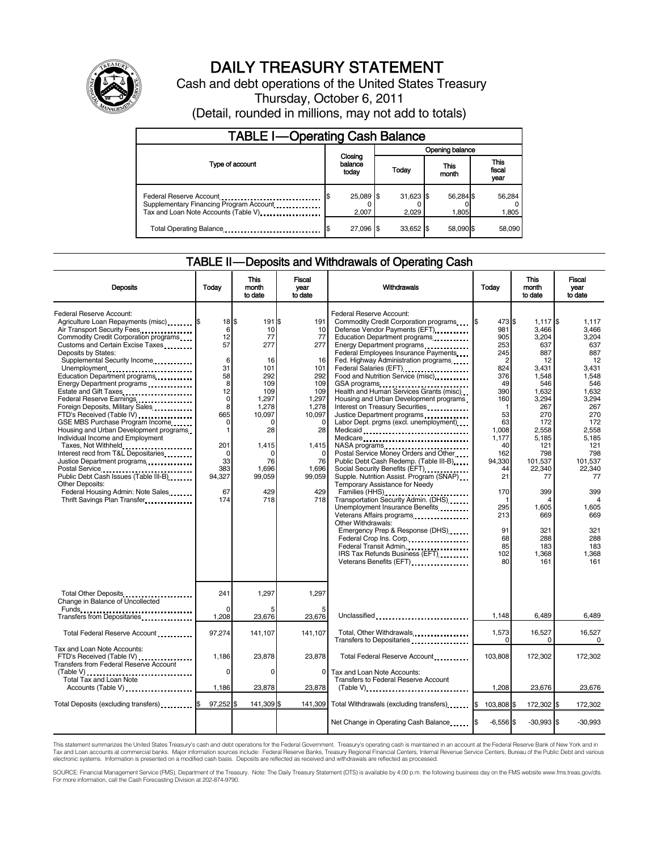

# DAILY TREASURY STATEMENT

Cash and debt operations of the United States Treasury Thursday, October 6, 2011 (Detail, rounded in millions, may not add to totals)

| <b>TABLE I-Operating Cash Balance</b>                                                                      |                                      |                      |                    |                               |  |  |  |
|------------------------------------------------------------------------------------------------------------|--------------------------------------|----------------------|--------------------|-------------------------------|--|--|--|
|                                                                                                            | Opening balance                      |                      |                    |                               |  |  |  |
| Type of account                                                                                            | Closing<br>balance<br>Today<br>today |                      | This<br>month      | <b>This</b><br>fiscal<br>year |  |  |  |
| Federal Reserve Account<br>Supplementary Financing Program Account<br>Tax and Loan Note Accounts (Table V) | 25,089 \$<br>2.007                   | $31,623$ \$<br>2.029 | 56,284 \$<br>1,805 | 56,284<br>1,805               |  |  |  |
| Total Operating Balance                                                                                    | 27,096 \$                            | $33.652$ \$          | 58.090 \$          | 58,090                        |  |  |  |

# TABLE II — Deposits and Withdrawals of Operating Cash

| <b>Deposits</b>                                                                                                                                                                                                                                                                                                                                                                                                                                                                                                                                                                                                                                                                                                                                                                                            | Today                                                                                                                                             | <b>This</b><br>month<br>to date                                                                                                                                | <b>Fiscal</b><br>vear<br>to date                                                                                                                            | Withdrawals                                                                                                                                                                                                                                                                                                                                                                                                                                                                                                                                                                                                                                                                                                                                                                                                                                                                                                                                                                                                                                             | Today                                                                                                                                                                                                                             | <b>This</b><br>month<br>to date                                                                                                                                                                                                         | Fiscal<br>vear<br>to date                                                                                                                                                                                                          |
|------------------------------------------------------------------------------------------------------------------------------------------------------------------------------------------------------------------------------------------------------------------------------------------------------------------------------------------------------------------------------------------------------------------------------------------------------------------------------------------------------------------------------------------------------------------------------------------------------------------------------------------------------------------------------------------------------------------------------------------------------------------------------------------------------------|---------------------------------------------------------------------------------------------------------------------------------------------------|----------------------------------------------------------------------------------------------------------------------------------------------------------------|-------------------------------------------------------------------------------------------------------------------------------------------------------------|---------------------------------------------------------------------------------------------------------------------------------------------------------------------------------------------------------------------------------------------------------------------------------------------------------------------------------------------------------------------------------------------------------------------------------------------------------------------------------------------------------------------------------------------------------------------------------------------------------------------------------------------------------------------------------------------------------------------------------------------------------------------------------------------------------------------------------------------------------------------------------------------------------------------------------------------------------------------------------------------------------------------------------------------------------|-----------------------------------------------------------------------------------------------------------------------------------------------------------------------------------------------------------------------------------|-----------------------------------------------------------------------------------------------------------------------------------------------------------------------------------------------------------------------------------------|------------------------------------------------------------------------------------------------------------------------------------------------------------------------------------------------------------------------------------|
| Federal Reserve Account:<br>Agriculture Loan Repayments (misc) \$<br>Air Transport Security Fees<br>Commodity Credit Corporation programs<br>Customs and Certain Excise Taxes<br>Deposits by States:<br>Supplemental Security Income<br>Unemployment<br>Education Department programs<br>Energy Department programs<br>Estate and Gift Taxes<br>Federal Reserve Earnings<br>Foreign Deposits, Military Sales<br>FTD's Received (Table IV)<br>GSE MBS Purchase Program Income<br>Housing and Urban Development programs<br>Individual Income and Employment<br>Taxes, Not Withheld<br>Interest recd from T&L Depositaries<br>Justice Department programs<br>Postal Service<br>Public Debt Cash Issues (Table III-B)<br>Other Deposits:<br>Federal Housing Admin: Note Sales<br>Thrift Savings Plan Transfer | 18 \$<br>6<br>12<br>57<br>6<br>31<br>58<br>8<br>12<br>$\mathbf 0$<br>8<br>665<br>0<br>1<br>201<br>$\mathbf 0$<br>33<br>383<br>94.327<br>67<br>174 | 191 \$<br>10<br>77<br>277<br>16<br>101<br>292<br>109<br>109<br>1.297<br>1.278<br>10,097<br>0<br>28<br>1,415<br>$\Omega$<br>76<br>1.696<br>99.059<br>429<br>718 | 191<br>10<br>77<br>277<br>16<br>101<br>292<br>109<br>109<br>1.297<br>1.278<br>10.097<br>0<br>28<br>1,415<br>$\Omega$<br>76<br>1.696<br>99.059<br>429<br>718 | Federal Reserve Account:<br>Commodity Credit Corporation programs<br>Defense Vendor Payments (EFT)<br>Education Department programs<br>Federal Employees Insurance Payments<br>Fed. Highway Administration programs<br>Federal Salaries (EFT)<br>Food and Nutrition Service (misc)<br>GSA programs<br>Health and Human Services Grants (misc)<br>Housing and Urban Development programs<br>Interest on Treasury Securities<br>Justice Department programs<br><br>Labor Dept. prgms (excl. unemployment)<br>Medicaid<br>Medicare<br>NASA programs<br>Postal Service Money Orders and Other<br>Public Debt Cash Redemp. (Table III-B)<br>Social Security Benefits (EFT)<br>Supple. Nutrition Assist. Program (SNAP)<br>Temporary Assistance for Needy<br>Families (HHS)<br>Transportation Security Admin. (DHS)<br>Unemployment Insurance Benefits<br>Veterans Affairs programs<br>Other Withdrawals:<br>Emergency Prep & Response (DHS)<br>Federal Crop Ins. Corp<br>Federal Transit Admin.<br>IRS Tax Refunds Business (EFT)<br>Veterans Benefits (EFT) | I\$<br>473 \$<br>981<br>905<br>253<br>245<br>$\overline{c}$<br>824<br>376<br>49<br>390<br>160<br>$\mathbf 1$<br>53<br>63<br>1,008<br>1,177<br>40<br>162<br>94.330<br>44<br>21<br>170<br>295<br>213<br>91<br>68<br>85<br>102<br>80 | $1,117$ \$<br>3.466<br>3,204<br>637<br>887<br>12<br>3,431<br>1,548<br>546<br>1,632<br>3,294<br>267<br>270<br>172<br>2,558<br>5,185<br>121<br>798<br>101,537<br>22.340<br>77<br>399<br>1,605<br>669<br>321<br>288<br>183<br>1,368<br>161 | 1,117<br>3.466<br>3,204<br>637<br>887<br>12<br>3,431<br>1,548<br>546<br>1,632<br>3.294<br>267<br>270<br>172<br>2,558<br>5,185<br>121<br>798<br>101.537<br>22.340<br>77<br>399<br>1.605<br>669<br>321<br>288<br>183<br>1,368<br>161 |
| Total Other Deposits<br>Change in Balance of Uncollected                                                                                                                                                                                                                                                                                                                                                                                                                                                                                                                                                                                                                                                                                                                                                   | 241                                                                                                                                               | 1,297                                                                                                                                                          | 1,297                                                                                                                                                       |                                                                                                                                                                                                                                                                                                                                                                                                                                                                                                                                                                                                                                                                                                                                                                                                                                                                                                                                                                                                                                                         |                                                                                                                                                                                                                                   |                                                                                                                                                                                                                                         |                                                                                                                                                                                                                                    |
| Transfers from Depositaries                                                                                                                                                                                                                                                                                                                                                                                                                                                                                                                                                                                                                                                                                                                                                                                | $\Omega$<br>1,208                                                                                                                                 | 23,676                                                                                                                                                         | 23,676                                                                                                                                                      | Unclassified                                                                                                                                                                                                                                                                                                                                                                                                                                                                                                                                                                                                                                                                                                                                                                                                                                                                                                                                                                                                                                            | 1.148                                                                                                                                                                                                                             | 6.489                                                                                                                                                                                                                                   | 6,489                                                                                                                                                                                                                              |
| Total Federal Reserve Account                                                                                                                                                                                                                                                                                                                                                                                                                                                                                                                                                                                                                                                                                                                                                                              | 97,274                                                                                                                                            | 141.107                                                                                                                                                        | 141.107                                                                                                                                                     | Total, Other Withdrawals<br>Transfers to Depositaries                                                                                                                                                                                                                                                                                                                                                                                                                                                                                                                                                                                                                                                                                                                                                                                                                                                                                                                                                                                                   | 1.573<br>$\Omega$                                                                                                                                                                                                                 | 16,527<br>0                                                                                                                                                                                                                             | 16.527<br>0                                                                                                                                                                                                                        |
| Tax and Loan Note Accounts:<br>FTD's Received (Table IV)<br>Transfers from Federal Reserve Account                                                                                                                                                                                                                                                                                                                                                                                                                                                                                                                                                                                                                                                                                                         | 1,186<br>0                                                                                                                                        | 23,878<br>0                                                                                                                                                    | 23,878<br>$\mathbf{0}$                                                                                                                                      | Total Federal Reserve Account<br>Tax and Loan Note Accounts:                                                                                                                                                                                                                                                                                                                                                                                                                                                                                                                                                                                                                                                                                                                                                                                                                                                                                                                                                                                            | 103,808                                                                                                                                                                                                                           | 172,302                                                                                                                                                                                                                                 | 172,302                                                                                                                                                                                                                            |
| (Table V)<br>Total Tax and Loan Note<br>Accounts (Table V)                                                                                                                                                                                                                                                                                                                                                                                                                                                                                                                                                                                                                                                                                                                                                 | 1,186                                                                                                                                             | 23,878                                                                                                                                                         | 23,878                                                                                                                                                      | <b>Transfers to Federal Reserve Account</b><br>$(Table V)$ ,                                                                                                                                                                                                                                                                                                                                                                                                                                                                                                                                                                                                                                                                                                                                                                                                                                                                                                                                                                                            | 1,208                                                                                                                                                                                                                             | 23,676                                                                                                                                                                                                                                  | 23,676                                                                                                                                                                                                                             |
| Total Deposits (excluding transfers) <b>S</b>                                                                                                                                                                                                                                                                                                                                                                                                                                                                                                                                                                                                                                                                                                                                                              | 97,252 \$                                                                                                                                         | 141,309 \$                                                                                                                                                     | 141.309                                                                                                                                                     | Total Withdrawals (excluding transfers)                                                                                                                                                                                                                                                                                                                                                                                                                                                                                                                                                                                                                                                                                                                                                                                                                                                                                                                                                                                                                 | ß.<br>103.808 \$                                                                                                                                                                                                                  | 172.302 \$                                                                                                                                                                                                                              | 172.302                                                                                                                                                                                                                            |
|                                                                                                                                                                                                                                                                                                                                                                                                                                                                                                                                                                                                                                                                                                                                                                                                            |                                                                                                                                                   |                                                                                                                                                                |                                                                                                                                                             | Net Change in Operating Cash Balance                                                                                                                                                                                                                                                                                                                                                                                                                                                                                                                                                                                                                                                                                                                                                                                                                                                                                                                                                                                                                    | l\$<br>$-6,556$ \$                                                                                                                                                                                                                | $-30,993$ \$                                                                                                                                                                                                                            | $-30,993$                                                                                                                                                                                                                          |

This statement summarizes the United States Treasury's cash and debt operations for the Federal Government. Treasury's operating cash is maintained in an account at the Federal Reserve Bank of New York and in<br>Tax and Loan

SOURCE: Financial Management Service (FMS), Department of the Treasury. Note: The Daily Treasury Statement (DTS) is available by 4:00 p.m. the following business day on the FMS website www.fms.treas.gov/dts.<br>For more infor